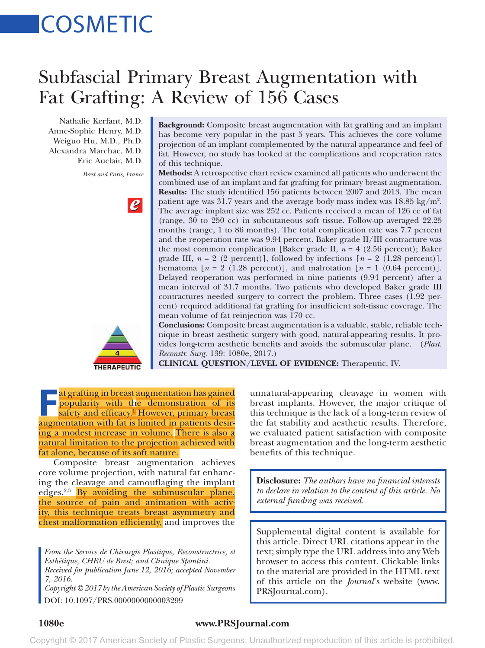# **COSMETIC**

# Subfascial Primary Breast Augmentation with Fat Grafting: A Review of 156 Cases

Nathalie Kerfant, M.D. Anne-Sophie Henry, M.D. Weiguo Hu, M.D., Ph.D. Alexandra Marchac, M.D. Eric Auclair, M.D.

*Brest and Paris, France*





**Background:** Composite breast augmentation with fat grafting and an implant has become very popular in the past 5 years. This achieves the core volume projection of an implant complemented by the natural appearance and feel of fat. However, no study has looked at the complications and reoperation rates of this technique.

**Methods:** A retrospective chart review examined all patients who underwent the combined use of an implant and fat grafting for primary breast augmentation. **Results:** The study identified 156 patients between 2007 and 2013. The mean patient age was 31.7 years and the average body mass index was  $18.85 \text{ kg/m}^2$ . The average implant size was 252 cc. Patients received a mean of 126 cc of fat (range, 30 to 250 cc) in subcutaneous soft tissue. Follow-up averaged 22.25 months (range, 1 to 86 months). The total complication rate was 7.7 percent and the reoperation rate was 9.94 percent. Baker grade II/III contracture was the most common complication [Baker grade II,  $n = 4$  (2.56 percent); Baker grade III,  $n = 2$  (2 percent)], followed by infections  $[n = 2 (1.28 \text{ percent})]$ , hematoma  $[n = 2 (1.28 \text{ percent})]$ , and malrotation  $[n = 1 (0.64 \text{ percent})]$ . Delayed reoperation was performed in nine patients (9.94 percent) after a mean interval of 31.7 months. Two patients who developed Baker grade III contractures needed surgery to correct the problem. Three cases (1.92 percent) required additional fat grafting for insufficient soft-tissue coverage. The mean volume of fat reinjection was 170 cc.

**Conclusions:** Composite breast augmentation is a valuable, stable, reliable technique in breast aesthetic surgery with good, natural-appearing results. It provides long-term aesthetic benefits and avoids the submuscular plane. (*Plast. Reconstr. Surg.* 139: 1080e, 2017.)

**CLINICAL QUESTION/LEVEL OF EVIDENCE:** Therapeutic, IV.

**F**at grafting in breast augmentation has gained popularity with the demonstration of its safety and efficacy.<sup>1</sup> However, primary breast augmentation with fat is limited in patients desiring a modest increase in volume. There is also a natural limitation to the projection achieved with fat alone, because of its soft nature.

Composite breast augmentation achieves core volume projection, with natural fat enhancing the cleavage and camouflaging the implant edges.<sup>2,3</sup> By avoiding the submuscular plane, the source of pain and animation with activity, this technique treats breast asymmetry and chest malformation efficiently, and improves the

*From the Service de Chirurgie Plastique, Reconstructrice, et Esthétique, CHRU de Brest; and Clinique Spontini. Received for publication June 12, 2016; accepted November 7, 2016.*

*Copyright © 2017 by the American Society of Plastic Surgeons* DOI: 10.1097/PRS.0000000000003299

unnatural-appearing cleavage in women with breast implants. However, the major critique of this technique is the lack of a long-term review of the fat stability and aesthetic results. Therefore, we evaluated patient satisfaction with composite breast augmentation and the long-term aesthetic benefits of this technique.

**Disclosure:** *The authors have no financial interests to declare in relation to the content of this article. No external funding was received.*

Supplemental digital content is available for this article. Direct URL citations appear in the text; simply type the URL address into any Web browser to access this content. Clickable links to the material are provided in the HTML text of this article on the *Journal*'s website [\(www.](www.PRSJournal.com) [PRSJournal.com](www.PRSJournal.com)).

## **1080e www.PRSJournal.com**

Copyright © 2017 American Society of Plastic Surgeons. Unauthorized reproduction of this article is prohibited.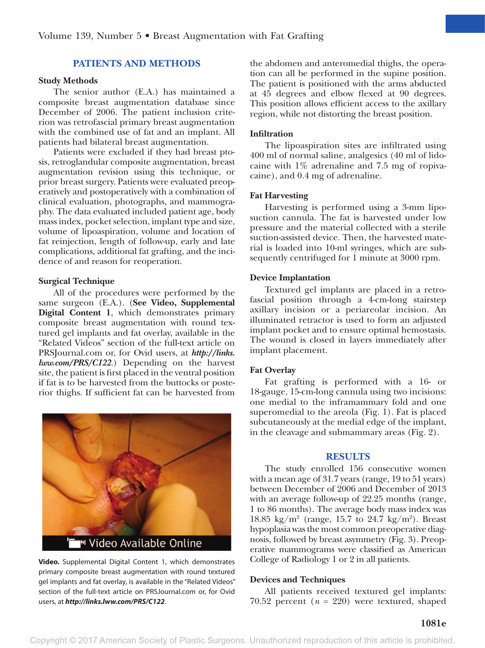### **PATIENTS AND METHODS**

#### **Study Methods**

The senior author (E.A.) has maintained a composite breast augmentation database since December of 2006. The patient inclusion criterion was retrofascial primary breast augmentation with the combined use of fat and an implant. All patients had bilateral breast augmentation.

Patients were excluded if they had breast ptosis, retroglandular composite augmentation, breast augmentation revision using this technique, or prior breast surgery. Patients were evaluated preoperatively and postoperatively with a combination of clinical evaluation, photographs, and mammography. The data evaluated included patient age, body mass index, pocket selection, implant type and size, volume of lipoaspiration, volume and location of fat reinjection, length of follow-up, early and late complications, additional fat grafting, and the incidence of and reason for reoperation.

#### **Surgical Technique**

All of the procedures were performed by the same surgeon (E.A.). (**See Video, Supplemental Digital Content 1**, which demonstrates primary composite breast augmentation with round textured gel implants and fat overlay, available in the "Related Videos" section of the full-text article on PRSJournal.com or, for Ovid users, at *[http://links.](http://links.lww.com/PRS/C122) [lww.com/PRS/C122](http://links.lww.com/PRS/C122)*.) Depending on the harvest site, the patient is first placed in the ventral position if fat is to be harvested from the buttocks or posterior thighs. If sufficient fat can be harvested from



**Video.** Supplemental Digital Content 1, which demonstrates primary composite breast augmentation with round textured gel implants and fat overlay, is available in the "Related Videos" section of the full-text article on PRSJournal.com or, for Ovid users, at *<http://links.lww.com/PRS/C122>*.

the abdomen and anteromedial thighs, the operation can all be performed in the supine position. The patient is positioned with the arms abducted at 45 degrees and elbow flexed at 90 degrees. This position allows efficient access to the axillary region, while not distorting the breast position.

#### **Infiltration**

The lipoaspiration sites are infiltrated using 400 ml of normal saline, analgesics (40 ml of lidocaine with 1% adrenaline and 7.5 mg of ropivacaine), and 0.4 mg of adrenaline.

#### **Fat Harvesting**

Harvesting is performed using a 3-mm liposuction cannula. The fat is harvested under low pressure and the material collected with a sterile suction-assisted device. Then, the harvested material is loaded into 10-ml syringes, which are subsequently centrifuged for 1 minute at 3000 rpm.

#### **Device Implantation**

Textured gel implants are placed in a retrofascial position through a 4-cm-long stairstep axillary incision or a periareolar incision. An illuminated retractor is used to form an adjusted implant pocket and to ensure optimal hemostasis. The wound is closed in layers immediately after implant placement.

#### **Fat Overlay**

Fat grafting is performed with a 16- or 18-gauge, 15-cm-long cannula using two incisions: one medial to the inframammary fold and one superomedial to the areola (Fig. 1). Fat is placed subcutaneously at the medial edge of the implant, in the cleavage and submammary areas (Fig. 2).

#### **RESULTS**

The study enrolled 156 consecutive women with a mean age of 31.7 years (range, 19 to 51 years) between December of 2006 and December of 2013 with an average follow-up of 22.25 months (range, 1 to 86 months). The average body mass index was 18.85 kg/m<sup>2</sup> (range, 15.7 to 24.7 kg/m<sup>2</sup>). Breast hypoplasia was the most common preoperative diagnosis, followed by breast asymmetry (Fig. 3). Preoperative mammograms were classified as American College of Radiology 1 or 2 in all patients.

#### **Devices and Techniques**

All patients received textured gel implants: 70.52 percent  $(n = 220)$  were textured, shaped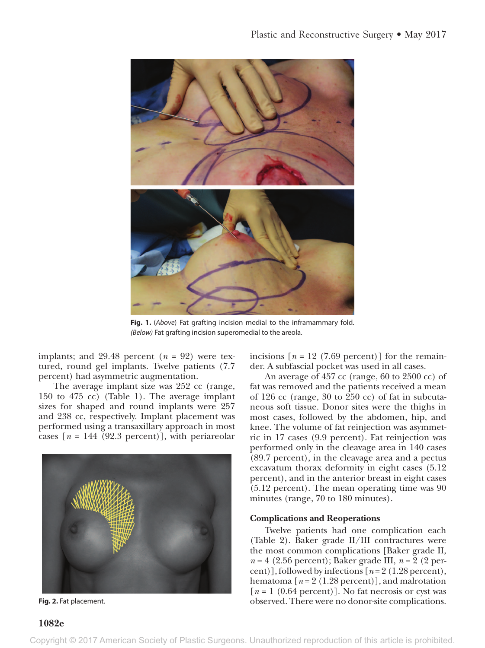

**Fig. 1.** (*Above*) Fat grafting incision medial to the inframammary fold. *(Below)* Fat grafting incision superomedial to the areola.

implants; and 29.48 percent  $(n = 92)$  were textured, round gel implants. Twelve patients (7.7 percent) had asymmetric augmentation.

The average implant size was 252 cc (range, 150 to 475 cc) (Table 1). The average implant sizes for shaped and round implants were 257 and 238 cc, respectively. Implant placement was performed using a transaxillary approach in most cases  $[n = 144 (92.3 percent)]$ , with periareolar



Fig. 2. Fat placement.

**1082e**

incisions  $[n = 12 (7.69) \text{ percent}]$  for the remainder. A subfascial pocket was used in all cases.

An average of 457 cc (range, 60 to 2500 cc) of fat was removed and the patients received a mean of 126 cc (range, 30 to 250 cc) of fat in subcutaneous soft tissue. Donor sites were the thighs in most cases, followed by the abdomen, hip, and knee. The volume of fat reinjection was asymmetric in 17 cases (9.9 percent). Fat reinjection was performed only in the cleavage area in 140 cases (89.7 percent), in the cleavage area and a pectus excavatum thorax deformity in eight cases (5.12 percent), and in the anterior breast in eight cases (5.12 percent). The mean operating time was 90 minutes (range, 70 to 180 minutes).

#### **Complications and Reoperations**

Twelve patients had one complication each (Table 2). Baker grade II/III contractures were the most common complications [Baker grade II, *n* = 4 (2.56 percent); Baker grade III, *n* = 2 (2 percent)], followed by infections [*n* = 2 (1.28 percent), hematoma  $[n=2 (1.28 \text{ percent})]$ , and malrotation  $[n = 1 (0.64 percent)]$ . No fat necrosis or cyst was observed. There were no donor-site complications.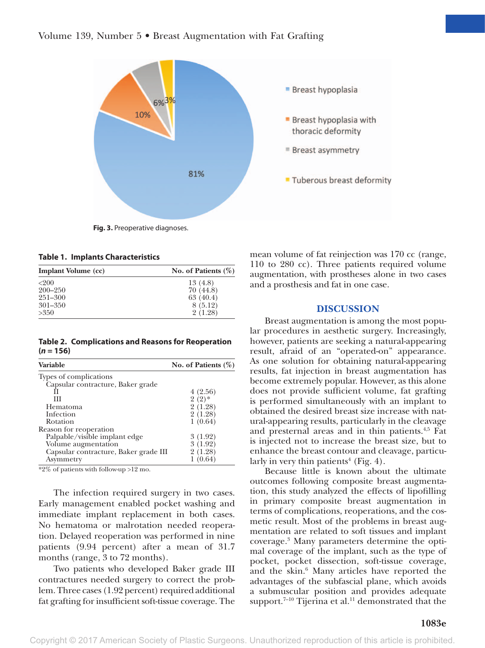

**Fig. 3.** Preoperative diagnoses.

#### **Table 1. Implants Characteristics**

| <b>Implant Volume (cc)</b> | No. of Patients $(\%)$ |
|----------------------------|------------------------|
| <200                       | 13 (4.8)               |
| $200 - 250$                | 70(44.8)               |
| $251 - 300$                | 63(40.4)               |
| $301 - 350$                | 8 (5.12)               |
| >350                       | 2(1.28)                |

**Table 2. Complications and Reasons for Reoperation (***n* **= 156)**

| <b>Variable</b>                       | No. of Patients $(\%)$ |
|---------------------------------------|------------------------|
| Types of complications                |                        |
| Capsular contracture, Baker grade     |                        |
|                                       | 4(2.56)                |
| Ш                                     | $2(2)$ *               |
| <b>Hematoma</b>                       | 2(1.28)                |
| Infection                             | 2(1.28)                |
| Rotation                              | 1(0.64)                |
| Reason for reoperation                |                        |
| Palpable/visible implant edge         | 3(1.92)                |
| Volume augmentation                   | 3(1.92)                |
| Capsular contracture, Baker grade III | 2(1.28)                |
| Asymmetry                             | (0.64)                 |
|                                       |                        |

\*2% of patients with follow-up >12 mo.

The infection required surgery in two cases. Early management enabled pocket washing and immediate implant replacement in both cases. No hematoma or malrotation needed reoperation. Delayed reoperation was performed in nine patients (9.94 percent) after a mean of 31.7 months (range, 3 to 72 months).

Two patients who developed Baker grade III contractures needed surgery to correct the problem. Three cases (1.92 percent) required additional fat grafting for insufficient soft-tissue coverage. The

mean volume of fat reinjection was 170 cc (range, 110 to 280 cc). Three patients required volume augmentation, with prostheses alone in two cases and a prosthesis and fat in one case.

#### **DISCUSSION**

Breast augmentation is among the most popular procedures in aesthetic surgery. Increasingly, however, patients are seeking a natural-appearing result, afraid of an "operated-on" appearance. As one solution for obtaining natural-appearing results, fat injection in breast augmentation has become extremely popular. However, as this alone does not provide sufficient volume, fat grafting is performed simultaneously with an implant to obtained the desired breast size increase with natural-appearing results, particularly in the cleavage and presternal areas and in thin patients.4,5 Fat is injected not to increase the breast size, but to enhance the breast contour and cleavage, particularly in very thin patients<sup>4</sup> (Fig. 4).

Because little is known about the ultimate outcomes following composite breast augmentation, this study analyzed the effects of lipofilling in primary composite breast augmentation in terms of complications, reoperations, and the cosmetic result. Most of the problems in breast augmentation are related to soft tissues and implant coverage.3 Many parameters determine the optimal coverage of the implant, such as the type of pocket, pocket dissection, soft-tissue coverage, and the skin.<sup>6</sup> Many articles have reported the advantages of the subfascial plane, which avoids a submuscular position and provides adequate support.<sup>7-10</sup> Tijerina et al.<sup>11</sup> demonstrated that the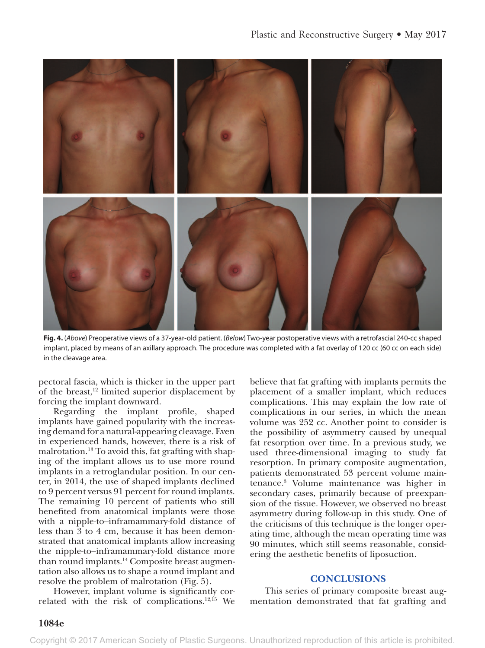

**Fig. 4.** (*Above*) Preoperative views of a 37-year-old patient. (*Below*) Two-year postoperative views with a retrofascial 240-cc shaped implant, placed by means of an axillary approach. The procedure was completed with a fat overlay of 120 cc (60 cc on each side) in the cleavage area.

pectoral fascia, which is thicker in the upper part of the breast, $12$  limited superior displacement by forcing the implant downward.

Regarding the implant profile, shaped implants have gained popularity with the increasing demand for a natural-appearing cleavage. Even in experienced hands, however, there is a risk of malrotation.13 To avoid this, fat grafting with shaping of the implant allows us to use more round implants in a retroglandular position. In our center, in 2014, the use of shaped implants declined to 9 percent versus 91 percent for round implants. The remaining 10 percent of patients who still benefited from anatomical implants were those with a nipple-to–inframammary-fold distance of less than 3 to 4 cm, because it has been demonstrated that anatomical implants allow increasing the nipple-to–inframammary-fold distance more than round implants.<sup>14</sup> Composite breast augmentation also allows us to shape a round implant and resolve the problem of malrotation (Fig. 5).

However, implant volume is significantly correlated with the risk of complications.12,15 We believe that fat grafting with implants permits the placement of a smaller implant, which reduces complications. This may explain the low rate of complications in our series, in which the mean volume was 252 cc. Another point to consider is the possibility of asymmetry caused by unequal fat resorption over time. In a previous study, we used three-dimensional imaging to study fat resorption. In primary composite augmentation, patients demonstrated 53 percent volume maintenance.3 Volume maintenance was higher in secondary cases, primarily because of preexpansion of the tissue. However, we observed no breast asymmetry during follow-up in this study. One of the criticisms of this technique is the longer operating time, although the mean operating time was 90 minutes, which still seems reasonable, considering the aesthetic benefits of liposuction.

#### **CONCLUSIONS**

This series of primary composite breast augmentation demonstrated that fat grafting and

Copyright © 2017 American Society of Plastic Surgeons. Unauthorized reproduction of this article is prohibited.